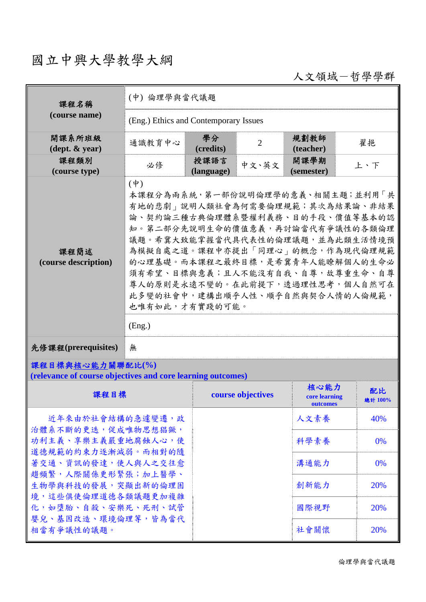# 國立中興大學教學大綱

人文領域-哲學學群

| 課程名稱                                        | (中) 倫理學與當代議題                            |                    |                |                    |                                                                                                                                                                                                                                                                                                                                                             |
|---------------------------------------------|-----------------------------------------|--------------------|----------------|--------------------|-------------------------------------------------------------------------------------------------------------------------------------------------------------------------------------------------------------------------------------------------------------------------------------------------------------------------------------------------------------|
| (course name)                               | (Eng.) Ethics and Contemporary Issues   |                    |                |                    |                                                                                                                                                                                                                                                                                                                                                             |
| 開課系所班級<br>$(\text{dept. } \& \text{ year})$ | 通識教育中心                                  | 學分<br>(credits)    | $\overline{2}$ | 規劃教師<br>(teacher)  | 翟挹                                                                                                                                                                                                                                                                                                                                                          |
| 課程類別<br>(course type)                       | 必修                                      | 授課語言<br>(language) | 中文、英文          | 開課學期<br>(semester) | 上、下                                                                                                                                                                                                                                                                                                                                                         |
| 課程簡述<br>(course description)                | $(\dagger)$<br>也唯有如此,才有實踐的可能。<br>(Eng.) |                    |                |                    | 本課程分為兩系統,第一部份說明倫理學的意義、相關主題;並利用「共<br>有地的悲劇」說明人類社會為何需要倫理規範;其次為結果論、非結果<br>論、契約論三種古典倫理體系暨權利義務、目的手段、價值等基本的認<br>知。第二部分先說明生命的價值意義,再討論當代有爭議性的各類倫理<br>議題。希冀大致能掌握當代具代表性的倫理議題,並為此類生活情境預<br>為模擬自處之道。課程中亦提出「同理心」的概念,作為現代倫理規範<br>的心理基礎。而本課程之最終目標,是希冀青年人能瞭解個人的生命必<br>須有希望、目標與意義;且人不能沒有自我、自尊,故尊重生命、自尊<br>尊人的原則是永遠不變的。在此前提下,透過理性思考,個人自然可在<br>此多變的社會中,建構出順乎人性、順乎自然與契合人情的人倫規範, |
| 先修課程(prerequisites)                         | 無                                       |                    |                |                    |                                                                                                                                                                                                                                                                                                                                                             |
| 課程目標與核心能力關聯配比(%)                            |                                         |                    |                |                    |                                                                                                                                                                                                                                                                                                                                                             |

**(relevance of course objectives and core learning outcomes)** 

| 課程目標                                     | course objectives | 核心能力<br>core learning<br>outcomes | 配比<br>總計 100% |
|------------------------------------------|-------------------|-----------------------------------|---------------|
| 近年來由於社會結構的急遽變遷,政                         |                   | 人文素養                              | 40%           |
| 治體系不斷的更迭,促成唯物思想猖獗,<br>功利主義、享樂主義嚴重地腐蝕人心,使 |                   | 科學素養                              | $0\%$         |
| 道德規範的約束力逐漸減弱。而相對的隨<br>著交通、資訊的發達,使人與人之交往愈 |                   | 溝通能力                              | $0\%$         |
| 趨頻繁,人際關係更形緊張;加上醫學、<br>生物學與科技的發展,突顯出新的倫理困 |                   | 創新能力                              | 20%           |
| 境,這些俱使倫理道德各類議題更加複雜<br>化,如墮胎、自殺、安樂死、死刑、試管 |                   | 國際視野                              | 20%           |
| 嬰兒、基因改造、環境倫理等,皆為當代<br>相當有爭議性的議題。         |                   | 社會關懷                              | <b>20%</b>    |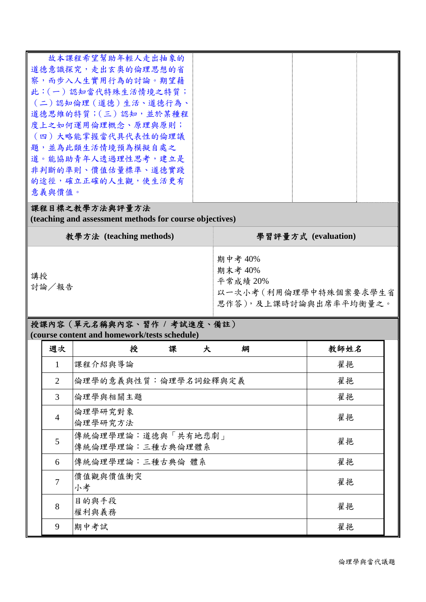| 故本課程希望幫助年輕人走出抽象的     |  |  |
|----------------------|--|--|
| 道德意識探究,走出玄奧的倫理思想的省   |  |  |
| 察,而步入人生實用行為的討論。期望藉   |  |  |
| 此:(一)認知當代特殊生活情境之特質;  |  |  |
| (二)認知倫理 (道德)生活、道德行為、 |  |  |
| 道德思維的特質;(三)認知,並於某種程  |  |  |
| 度上之如何運用倫理概念、原理與原則;   |  |  |
| (四)大略能掌握當代具代表性的倫理議   |  |  |
| 題,並為此類生活情境預為模擬自處之    |  |  |
| 道。能協助青年人透過理性思考,建立是   |  |  |
| 非判斷的準則、價值估量標準、道德實踐   |  |  |
| 的途徑,確立正確的人生觀,使生活更有   |  |  |
| 意義與價值。               |  |  |
|                      |  |  |

### 課程目標之教學方法與評量方法

**(teaching and assessment methods for course objectives)** 

|             | 教學方法 (teaching methods) | 學習評量方式 (evaluation)                                                              |
|-------------|-------------------------|----------------------------------------------------------------------------------|
| 講授<br>討論/報告 |                         | 期中考 40%<br>期末考 40%<br>平常成績 20%<br>以一次小考(利用倫理學中特殊個案要求學生省<br>思作答),及上課時討論與出席率平均衡量之。 |

## 授課內容(單元名稱與內容、習作 **/** 考試進度、備註) **(course content and homework/tests schedule)**

| 週次             | 授<br>課<br>綱<br>大                       | 教師姓名 |
|----------------|----------------------------------------|------|
| 1              | 課程介紹與導論                                | 翟挹   |
| 2              | 倫理學的意義與性質:倫理學名詞銓釋與定義                   | 翟挹   |
| 3              | 倫理學與相關主題                               | 翟挹   |
| $\overline{4}$ | 倫理學研究對象<br>倫理學研究方法                     | 翟挹   |
| 5              | 傳統倫理學理論:道德與「共有地悲劇」<br>傳統倫理學理論:三種古典倫理體系 | 翟挹   |
| 6              | 傳統倫理學理論:三種古典倫 體系                       | 翟挹   |
| $\overline{7}$ | 價值觀與價值衝突<br>小考                         | 翟挹   |
| 8              | 目的與手段<br>權利與義務                         | 翟挹   |
| 9              | 期中考試                                   | 翟挹   |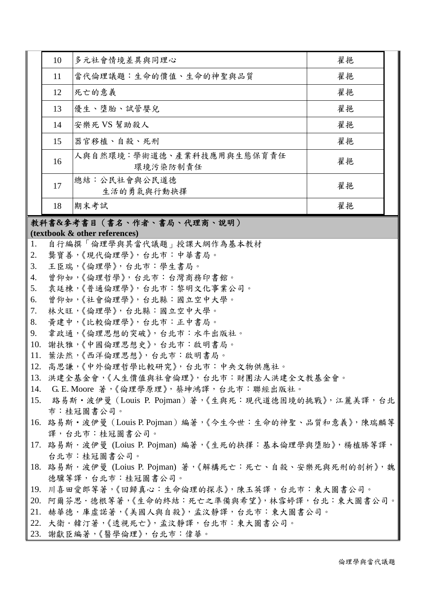| 10 | 多元社會情境差異與同理心                          | 翟挹 |
|----|---------------------------------------|----|
| 11 | 當代倫理議題:生命的價值、生命的神聖與品質                 | 翟挹 |
| 12 | 死亡的意義                                 | 翟挹 |
| 13 | 優生、墮胎、試管嬰兒                            | 翟挹 |
| 14 | 安樂死 VS 幫助殺人                           | 翟挹 |
| 15 | 器官移植、自殺、死刑                            | 翟挹 |
| 16 | 人與自然環境:學術道德、產業科技應用與生態保育責任<br>環境污染防制責任 | 翟挹 |
| 17 | 總結:公民社會與公民道德<br>生活的勇氣與行動抉擇            | 翟挹 |
| 18 | 期末考試                                  | 翟挹 |

#### 教科書**&**參考書目(書名、作者、書局、代理商、說明)

**(textbook & other references)**

- 1. 自行編撰「倫理學與其當代議題」授課大綱作為基本教材
- 2. 龔寶善,《現代倫理學》,台北市:中華書局。
- 3. 王臣瑞,《倫理學》,台北市:學生書局。
- 4. 曾仰如,《倫理哲學》,台北市:台灣商務印書館。
- 5. 袁廷棟,《普通倫理學》,台北市:黎明文化事業公司。
- 6. 曾仰如,《社會倫理學》,台北縣:國立空中大學。
- 7. 林火旺,《倫理學》,台北縣:國立空中大學。
- 8. 黃建中,《比較倫理學》,台北市:正中書局。
- 9. 韋政通,《倫理思想的突破》,台北市:水牛出版社。
- 10. 謝扶雅,《中國倫理思想史》,台北市:啟明書局。
- 11. 葉法然,《西洋倫理思想》,台北市:啟明書局。
- 12. 高思謙,《中外倫理哲學比較研究》,台北市:中央文物供應社。
- 13. 洪建全基金會,《人生價值與社會倫理》,台北市:財團法人洪建全文教基金會。
- 14. G. E. Moore 著,《倫理學原理》,蔡坤鴻譯,台北市:聯經出版社。
- 15. 路易斯·波伊曼 (Louis P. Pojman)著,《生與死:現代道德困境的挑戰》,江麗美譯,台北 巿:桂冠圖書公司。
- 16. 路易斯‧波伊曼(Louis P. Pojman)編著,《今生今世:生命的神聖、品質和意義》,陳瑞麟等 譯,台北市:桂冠圖書公司。
- 17. 路易斯·波伊曼 (Loius P. Pojman) 編著,《生死的抉擇:基本倫理學與墮胎》,楊植勝等譯, 台北巿:桂冠圖書公司。
- 18. 路易斯·波伊曼 (Loius P. Pojman) 著,《解構死亡:死亡、自殺、安樂死與死刑的剖析》,魏 德驥等譯,台北市:桂冠圖書公司。
- 19. 川喜田愛郎等著,《回歸真心:生命倫理的探求》,陳玉英譯,台北市:東大圖書公司。
- 20. 阿爾芬思·德根等著,《生命的終結:死亡之準備與希望》,林雪婷譯,台北:東大圖書公司。 21. 赫華德·庫虛諾著,《美國人與自殺》,孟汶靜譯,台北市:東大圖書公司。
- 22. 大衛·韓汀著,《透視死亡》,孟汶靜譯,台北市:東大圖書公司。
- 23. 謝獻臣編著,《醫學倫理》,台北巿:偉華。